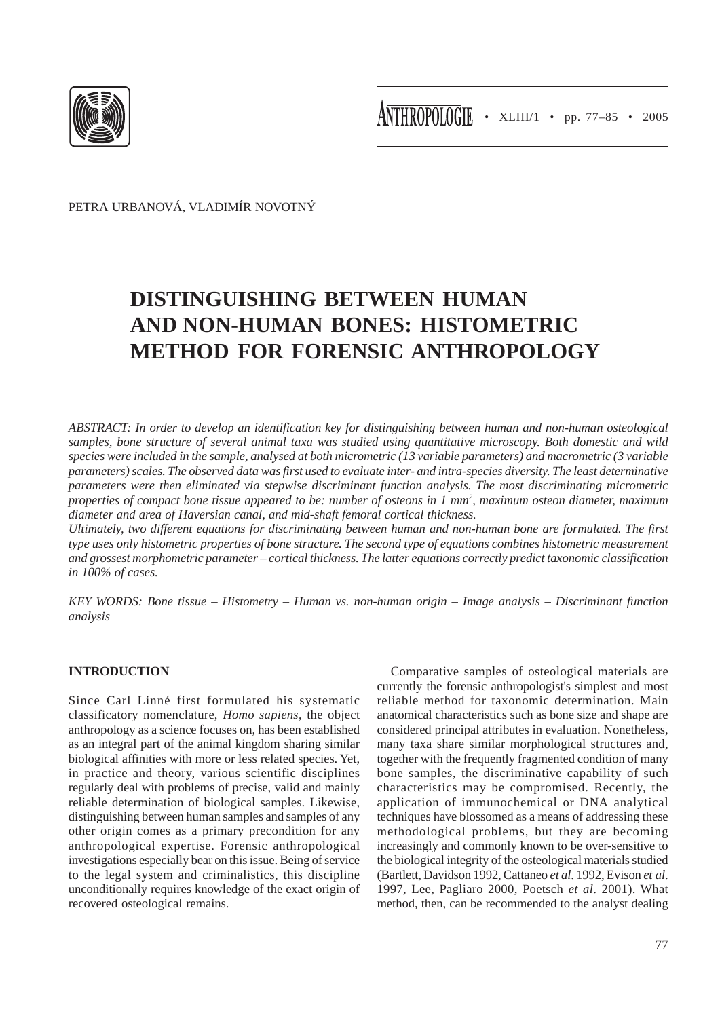

PETRA URBANOVÁ, VLADIMÍR NOVOTNÝ

# **DISTINGUISHING BETWEEN HUMAN AND NON-HUMAN BONES: HISTOMETRIC METHOD FOR FORENSIC ANTHROPOLOGY**

*ABSTRACT: In order to develop an identification key for distinguishing between human and non-human osteological samples, bone structure of several animal taxa was studied using quantitative microscopy. Both domestic and wild species were included in the sample, analysed at both micrometric (13 variable parameters) and macrometric (3 variable parameters) scales. The observed data was first used to evaluate inter- and intra-species diversity. The least determinative parameters were then eliminated via stepwise discriminant function analysis. The most discriminating micrometric* properties of compact bone tissue appeared to be: number of osteons in 1 mm<sup>2</sup>, maximum osteon diameter, maximum *diameter and area of Haversian canal, and mid-shaft femoral cortical thickness.*

*Ultimately, two different equations for discriminating between human and non-human bone are formulated. The first type uses only histometric properties of bone structure. The second type of equations combines histometric measurement and grossest morphometric parameter – cortical thickness. The latter equations correctly predict taxonomic classification in 100% of cases.*

*KEY WORDS: Bone tissue – Histometry – Human vs. non-human origin – Image analysis – Discriminant function analysis*

# **INTRODUCTION**

Since Carl Linné first formulated his systematic classificatory nomenclature, *Homo sapiens*, the object anthropology as a science focuses on, has been established as an integral part of the animal kingdom sharing similar biological affinities with more or less related species. Yet, in practice and theory, various scientific disciplines regularly deal with problems of precise, valid and mainly reliable determination of biological samples. Likewise, distinguishing between human samples and samples of any other origin comes as a primary precondition for any anthropological expertise. Forensic anthropological investigations especially bear on this issue. Being of service to the legal system and criminalistics, this discipline unconditionally requires knowledge of the exact origin of recovered osteological remains.

Comparative samples of osteological materials are currently the forensic anthropologist's simplest and most reliable method for taxonomic determination. Main anatomical characteristics such as bone size and shape are considered principal attributes in evaluation. Nonetheless, many taxa share similar morphological structures and, together with the frequently fragmented condition of many bone samples, the discriminative capability of such characteristics may be compromised. Recently, the application of immunochemical or DNA analytical techniques have blossomed as a means of addressing these methodological problems, but they are becoming increasingly and commonly known to be over-sensitive to the biological integrity of the osteological materials studied (Bartlett, Davidson 1992, Cattaneo *et al*. 1992, Evison *et al*. 1997, Lee, Pagliaro 2000, Poetsch *et al*. 2001). What method, then, can be recommended to the analyst dealing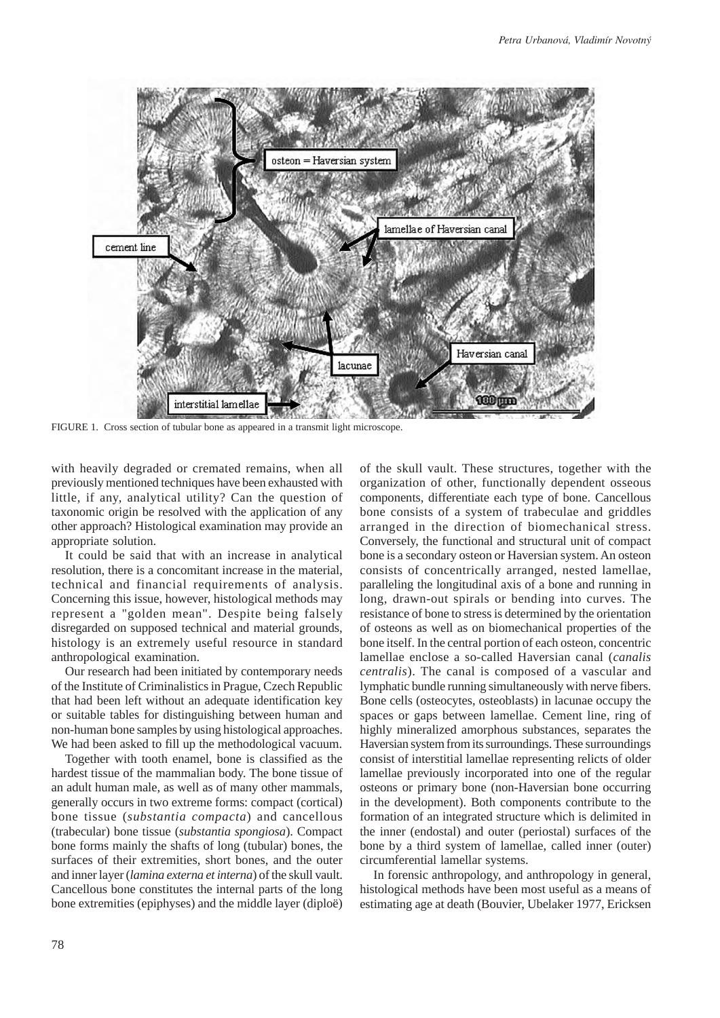

FIGURE 1. Cross section of tubular bone as appeared in a transmit light microscope.

with heavily degraded or cremated remains, when all previously mentioned techniques have been exhausted with little, if any, analytical utility? Can the question of taxonomic origin be resolved with the application of any other approach? Histological examination may provide an appropriate solution.

It could be said that with an increase in analytical resolution, there is a concomitant increase in the material, technical and financial requirements of analysis. Concerning this issue, however, histological methods may represent a "golden mean". Despite being falsely disregarded on supposed technical and material grounds, histology is an extremely useful resource in standard anthropological examination.

Our research had been initiated by contemporary needs of the Institute of Criminalistics in Prague, Czech Republic that had been left without an adequate identification key or suitable tables for distinguishing between human and non-human bone samples by using histological approaches. We had been asked to fill up the methodological vacuum.

Together with tooth enamel, bone is classified as the hardest tissue of the mammalian body. The bone tissue of an adult human male, as well as of many other mammals, generally occurs in two extreme forms: compact (cortical) bone tissue (*substantia compacta*) and cancellous (trabecular) bone tissue (*substantia spongiosa*). Compact bone forms mainly the shafts of long (tubular) bones, the surfaces of their extremities, short bones, and the outer and inner layer (*lamina externa et interna*) of the skull vault. Cancellous bone constitutes the internal parts of the long bone extremities (epiphyses) and the middle layer (diploë)

of the skull vault. These structures, together with the organization of other, functionally dependent osseous components, differentiate each type of bone. Cancellous bone consists of a system of trabeculae and griddles arranged in the direction of biomechanical stress. Conversely, the functional and structural unit of compact bone is a secondary osteon or Haversian system. An osteon consists of concentrically arranged, nested lamellae, paralleling the longitudinal axis of a bone and running in long, drawn-out spirals or bending into curves. The resistance of bone to stress is determined by the orientation of osteons as well as on biomechanical properties of the bone itself. In the central portion of each osteon, concentric lamellae enclose a so-called Haversian canal (*canalis centralis*). The canal is composed of a vascular and lymphatic bundle running simultaneously with nerve fibers. Bone cells (osteocytes, osteoblasts) in lacunae occupy the spaces or gaps between lamellae. Cement line, ring of highly mineralized amorphous substances, separates the Haversian system from its surroundings. These surroundings consist of interstitial lamellae representing relicts of older lamellae previously incorporated into one of the regular osteons or primary bone (non-Haversian bone occurring in the development). Both components contribute to the formation of an integrated structure which is delimited in the inner (endostal) and outer (periostal) surfaces of the bone by a third system of lamellae, called inner (outer) circumferential lamellar systems.

In forensic anthropology, and anthropology in general, histological methods have been most useful as a means of estimating age at death (Bouvier, Ubelaker 1977, Ericksen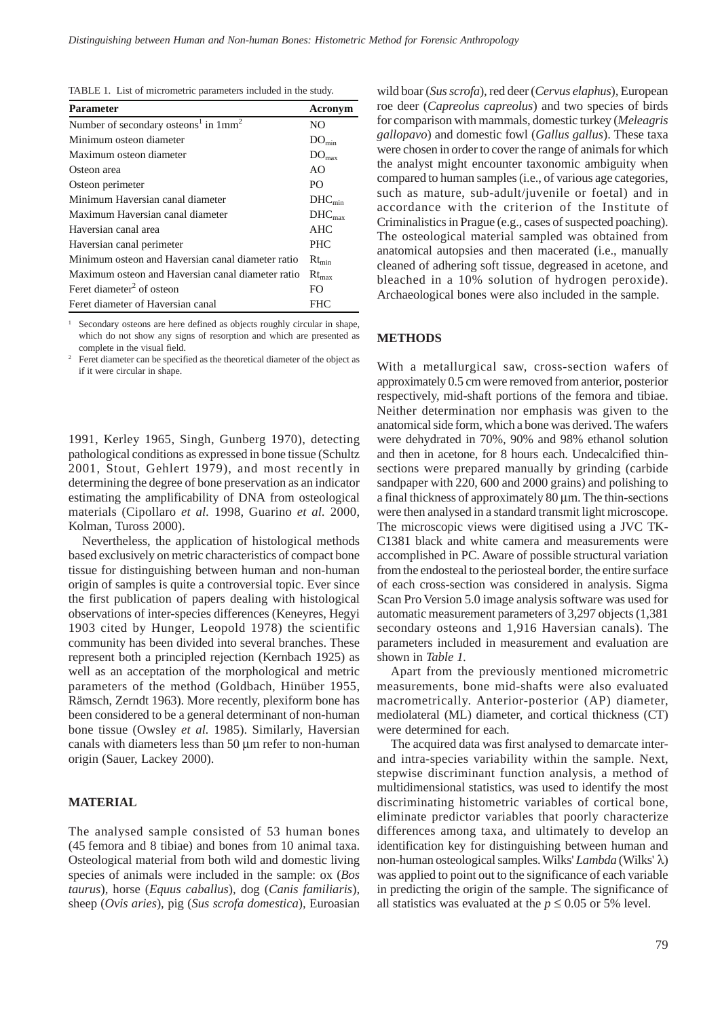| TABLE 1. List of micrometric parameters included in the study. |  |  |
|----------------------------------------------------------------|--|--|
|----------------------------------------------------------------|--|--|

| Parameter                                                    | Acronym            |
|--------------------------------------------------------------|--------------------|
| Number of secondary osteons <sup>1</sup> in 1mm <sup>2</sup> | NO.                |
| Minimum osteon diameter                                      | $DO_{min}$         |
| Maximum osteon diameter                                      | $DO_{max}$         |
| Osteon area                                                  | AO                 |
| Osteon perimeter                                             | PO.                |
| Minimum Haversian canal diameter                             | $DHC_{min}$        |
| Maximum Haversian canal diameter                             | DHC <sub>max</sub> |
| Haversian canal area                                         | <b>AHC</b>         |
| Haversian canal perimeter                                    | <b>PHC</b>         |
| Minimum osteon and Haversian canal diameter ratio            | $Rt_{\min}$        |
| Maximum osteon and Haversian canal diameter ratio            | $Rt_{\text{max}}$  |
| Feret diameter <sup>2</sup> of osteon                        | FO.                |
| Feret diameter of Haversian canal                            | FHC                |

Secondary osteons are here defined as objects roughly circular in shape, which do not show any signs of resorption and which are presented as complete in the visual field.

<sup>2</sup> Feret diameter can be specified as the theoretical diameter of the object as if it were circular in shape.

1991, Kerley 1965, Singh, Gunberg 1970), detecting pathological conditions as expressed in bone tissue (Schultz 2001, Stout, Gehlert 1979), and most recently in determining the degree of bone preservation as an indicator estimating the amplificability of DNA from osteological materials (Cipollaro *et al.* 1998, Guarino *et al.* 2000, Kolman, Tuross 2000).

Nevertheless, the application of histological methods based exclusively on metric characteristics of compact bone tissue for distinguishing between human and non-human origin of samples is quite a controversial topic. Ever since the first publication of papers dealing with histological observations of inter-species differences (Keneyres, Hegyi 1903 cited by Hunger, Leopold 1978) the scientific community has been divided into several branches. These represent both a principled rejection (Kernbach 1925) as well as an acceptation of the morphological and metric parameters of the method (Goldbach, Hinüber 1955, Rämsch, Zerndt 1963). More recently, plexiform bone has been considered to be a general determinant of non-human bone tissue (Owsley *et al.* 1985). Similarly, Haversian canals with diameters less than 50 μm refer to non-human origin (Sauer, Lackey 2000).

# **MATERIAL**

The analysed sample consisted of 53 human bones (45 femora and 8 tibiae) and bones from 10 animal taxa. Osteological material from both wild and domestic living species of animals were included in the sample: ox (*Bos taurus*)*,* horse (*Equus caballus*)*,* dog (*Canis familiaris*)*,* sheep (*Ovis aries*)*,* pig (*Sus scrofa domestica*)*,* Euroasian wild boar (*Sus scrofa*)*,* red deer (*Cervus elaphus*)*,* European roe deer (*Capreolus capreolus*) and two species of birds for comparison with mammals, domestic turkey (*Meleagris gallopavo*) and domestic fowl (*Gallus gallus*). These taxa were chosen in order to cover the range of animals for which the analyst might encounter taxonomic ambiguity when compared to human samples (i.e., of various age categories, such as mature, sub-adult/juvenile or foetal) and in accordance with the criterion of the Institute of Criminalistics in Prague (e.g., cases of suspected poaching). The osteological material sampled was obtained from anatomical autopsies and then macerated (i.e., manually cleaned of adhering soft tissue, degreased in acetone, and bleached in a 10% solution of hydrogen peroxide). Archaeological bones were also included in the sample.

### **METHODS**

With a metallurgical saw, cross-section wafers of approximately 0.5 cm were removed from anterior, posterior respectively, mid-shaft portions of the femora and tibiae. Neither determination nor emphasis was given to the anatomical side form, which a bone was derived. The wafers were dehydrated in 70%, 90% and 98% ethanol solution and then in acetone, for 8 hours each. Undecalcified thinsections were prepared manually by grinding (carbide sandpaper with 220, 600 and 2000 grains) and polishing to a final thickness of approximately 80 μm. The thin-sections were then analysed in a standard transmit light microscope. The microscopic views were digitised using a JVC TK-C1381 black and white camera and measurements were accomplished in PC. Aware of possible structural variation from the endosteal to the periosteal border, the entire surface of each cross-section was considered in analysis. Sigma Scan Pro Version 5.0 image analysis software was used for automatic measurement parameters of 3,297 objects (1,381 secondary osteons and 1,916 Haversian canals). The parameters included in measurement and evaluation are shown in *Table 1.*

Apart from the previously mentioned micrometric measurements, bone mid-shafts were also evaluated macrometrically. Anterior-posterior (AP) diameter, mediolateral (ML) diameter, and cortical thickness (CT) were determined for each.

The acquired data was first analysed to demarcate interand intra-species variability within the sample. Next, stepwise discriminant function analysis, a method of multidimensional statistics, was used to identify the most discriminating histometric variables of cortical bone, eliminate predictor variables that poorly characterize differences among taxa, and ultimately to develop an identification key for distinguishing between human and non-human osteological samples. Wilks' *Lambda* (Wilks' λ) was applied to point out to the significance of each variable in predicting the origin of the sample. The significance of all statistics was evaluated at the  $p \le 0.05$  or 5% level.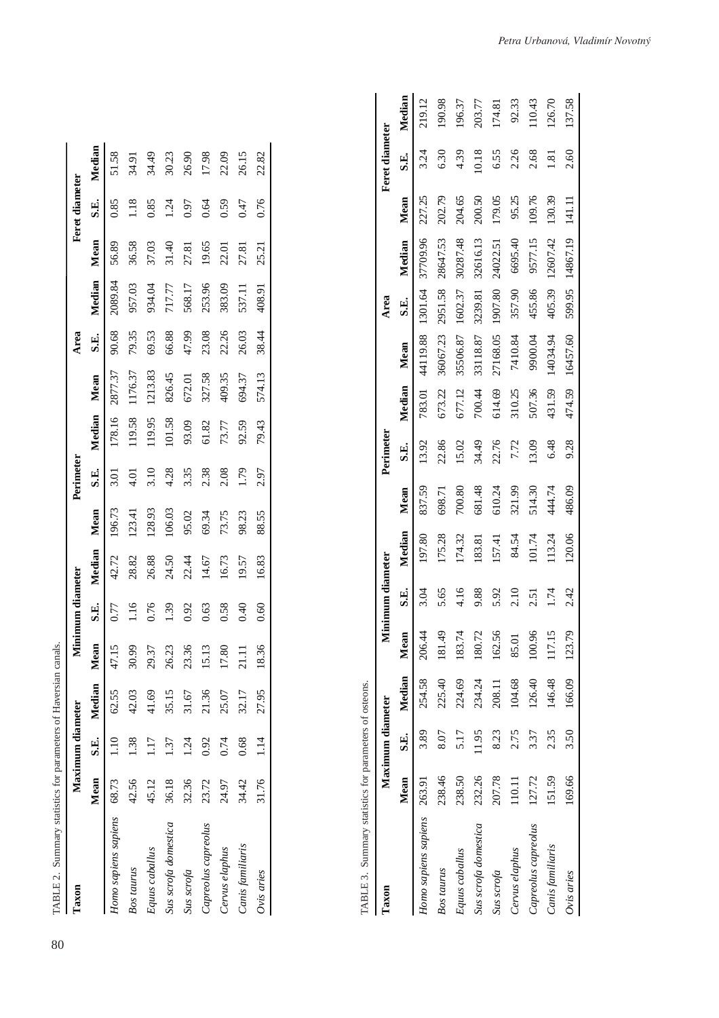| TABLE 2. Summary statistics for parameters of Haversian canals. |       |                  |             |       |                  |        |        |           |        |         |       |         |       |                |        |
|-----------------------------------------------------------------|-------|------------------|-------------|-------|------------------|--------|--------|-----------|--------|---------|-------|---------|-------|----------------|--------|
| Taxon                                                           |       | Maximum diameter |             |       | Minimum diameter |        |        | Perimeter |        |         | Area  |         |       | Feret diameter |        |
|                                                                 | Mean  |                  | S.E. Median | Mean  | S.E.             | Median | Mean   | S.E.      | Median | Mean    | S.E.  | Median  | Mean  | S.E.           | Median |
| Homo sapiens sapiens 68.73                                      |       | 1.10             | 62.55       | 17.15 | 0.77             | 42.72  | 196.73 | 5.01      | 178.16 | 2877.37 | 90.68 | 2089.84 | 56.89 | 0.85           | 51.58  |
| <b>Bos</b> taurus                                               | 42.56 | 1.38             | 42.03       | 30.99 | $\frac{16}{1}$   | 28.82  | 123.41 | 4.01      | 119.58 | 1176.37 | 79.35 | 957.03  | 36.58 | $\frac{8}{11}$ | 34.91  |
| Equus caballus                                                  | 45.12 | 117              | 41.69       | 29.37 | 0.76             | 26.88  | 128.93 | 3.10      | 119.95 | 1213.83 | 69.53 | 934.04  | 37.03 | 0.85           | 34.49  |
| Sus scrofa domestica                                            | 36.18 | 1.37             | 35.15       | 26.23 | <b>1.39</b>      | 24.50  | 106.03 | 4.28      | 101.58 | 826.45  | 66.88 | 717.77  | 31.40 | $\frac{54}{3}$ | 30.23  |
| Sus scrofa                                                      | 32.36 | 1.24             | 31.67       | 23.36 | 0.92             | 22.44  | 95.02  | 3.35      | 93.09  | 672.01  | 47.99 | 568.17  | 27.81 | 0.97           | 26.90  |
| Capreolus capreolus                                             | 23.72 | 0.92             | 21.36       | 15.13 | 0.63             | 14.67  | 69.34  | 2.38      | 61.82  | 327.58  | 23.08 | 253.96  | 19.65 | 0.64           | 17.98  |
| Cervus elaphus                                                  | 24.97 | 0.74             | 25.07       | 17.80 | 0.58             | 16.73  | 73.75  | 2.08      | 73.77  | 409.35  | 22.26 | 383.09  | 22.01 | 0.59           | 22.09  |
| Canis familiaris                                                | 34.42 | 0.68             | 32.17       | 21.11 | 0.40             | 19.57  | 98.23  | 1.79      | 92.59  | 694.37  | 26.03 | 537.11  | 27.81 | 0.47           | 26.15  |
| Ovis aries                                                      | 31.76 | 1.14             | 27.95       | 18.36 | 0.60             | 16.83  | 88.55  | 2.97      | 79.43  | 574.13  | 38.44 | 408.91  | 25.21 | 0.76           | 22.82  |

**S.E.** Median<br>0.85 51.58

| $1000 + 2000 + 200$                  |
|--------------------------------------|
|                                      |
| ne nommatore<br>i<br>۱               |
|                                      |
| ;<br>$1.4 \times 1.4 \times 10^{-4}$ |
| <b>ANACHER</b><br>۱<br>ı<br>ţ        |
|                                      |
| rini ri                              |

| ABLE 5. Summary statistics for parameters of osteons. |        |                  |                  |        |                |        |        |           |        |          |         |          |        |                 |        |
|-------------------------------------------------------|--------|------------------|------------------|--------|----------------|--------|--------|-----------|--------|----------|---------|----------|--------|-----------------|--------|
| Taxon                                                 |        | Maximum diameter |                  | ₹      | mmum diameter  |        |        | Perimeter |        |          | Area    |          |        | Feret diameter  |        |
|                                                       | Mean   |                  | S.E. Median Mean |        | S.E.           | Median | Mean   | S.E.      | Median | Mean     | S.E.    | Median   | Mean   | S.E.            | Median |
| Homo sapiens sapiens 263.91                           |        | 3.89             | 254.58           | 206.44 |                | 197.80 | 837.59 | 13.92     | 783.01 | 44119.88 | 1301.64 | 37709.96 | 227.25 | 3.24            | 219.12 |
| <b>Bos</b> taurus                                     | 238.46 | 8.07             | 225.40           | 181.49 | 5.65           | 175.28 | 698.71 | 22.86     | 673.22 | 36067.23 | 2951.58 | 28647.53 | 202.79 | 6.30            | 190.98 |
| Equus caballus                                        | 238.50 | 5.17             | 224.69           | 183.74 | $\frac{6}{11}$ | 174.32 | 700.80 | 15.02     | 677.12 | 35506.87 | 1602.37 | 30287.48 | 204.65 | 4.39            | 196.37 |
| Sus scrofa domestica                                  | 232.26 | 11.95            | 234.24           | 180.72 | 9.88           | 183.81 | 681.48 | 34.49     | 700.44 | 33118.87 | 3239.81 | 32616.13 | 200.50 | 10.18           | 203.77 |
| Sus scrofa                                            | 207.78 | 8.23             | 208.11           | 162.56 | 5.92           | 157.41 | 610.24 | 22.76     | 614.69 | 27168.05 | 1907.80 | 24022.51 | 179.05 | 6.55            | [74.8] |
| Cervus elaphus                                        | 110.11 | 2.75             | 104.68           | 85.01  | $\frac{0}{21}$ | 84.54  | 321.99 | 7.72      | 310.25 | 7410.84  | 357.90  | 6695.40  | 95.25  | 2.26            | 92.33  |
| Capreolus capreolus                                   | 127.72 | 3.37             | 126.40           | 100.96 | 5<br>25        | 101.74 | 514.30 | 13.09     | 507.36 | 9900.04  | 455.86  | 9577.15  | 109.76 | 2.68            | 10.43  |
| Canis familiaris                                      | 151.59 | 2.35             | 146.48           | 117.15 | 1.74           | 13.24  | 44.74  | 6.48      | 431.59 | 4034.94  | 405.39  | 12607.42 | 130.39 | $\overline{18}$ | 126.70 |
| Ovis aries                                            | 169.66 | 3.50             | 166.09           | 123.79 | 2.42           | 120.06 | 486.09 | 9.28      | 474.59 | 16457.60 | 599.95  | 14867.19 | 141.11 | 2.60            | 37.58  |
|                                                       |        |                  |                  |        |                |        |        |           |        |          |         |          |        |                 |        |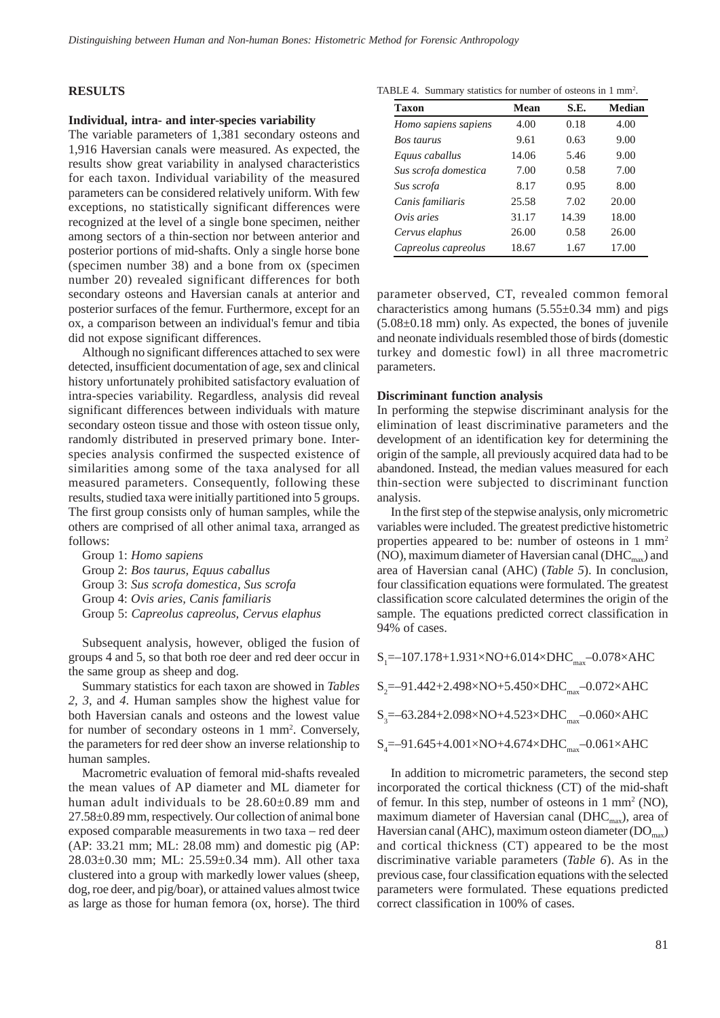#### **RESULTS**

#### **Individual, intra- and inter-species variability**

The variable parameters of 1,381 secondary osteons and 1,916 Haversian canals were measured. As expected, the results show great variability in analysed characteristics for each taxon. Individual variability of the measured parameters can be considered relatively uniform. With few exceptions, no statistically significant differences were recognized at the level of a single bone specimen, neither among sectors of a thin-section nor between anterior and posterior portions of mid-shafts. Only a single horse bone (specimen number 38) and a bone from ox (specimen number 20) revealed significant differences for both secondary osteons and Haversian canals at anterior and posterior surfaces of the femur. Furthermore, except for an ox, a comparison between an individual's femur and tibia did not expose significant differences.

Although no significant differences attached to sex were detected, insufficient documentation of age, sex and clinical history unfortunately prohibited satisfactory evaluation of intra-species variability. Regardless, analysis did reveal significant differences between individuals with mature secondary osteon tissue and those with osteon tissue only, randomly distributed in preserved primary bone. Interspecies analysis confirmed the suspected existence of similarities among some of the taxa analysed for all measured parameters. Consequently, following these results, studied taxa were initially partitioned into 5 groups. The first group consists only of human samples, while the others are comprised of all other animal taxa, arranged as follows:

Group 1: *Homo sapiens* Group 2: *Bos taurus, Equus caballus* Group 3: *Sus scrofa domestica, Sus scrofa* Group 4: *Ovis aries, Canis familiaris* Group 5: *Capreolus capreolus, Cervus elaphus*

Subsequent analysis, however, obliged the fusion of groups 4 and 5, so that both roe deer and red deer occur in the same group as sheep and dog.

Summary statistics for each taxon are showed in *Tables 2, 3*, and *4*. Human samples show the highest value for both Haversian canals and osteons and the lowest value for number of secondary osteons in 1 mm<sup>2</sup>. Conversely, the parameters for red deer show an inverse relationship to human samples.

Macrometric evaluation of femoral mid-shafts revealed the mean values of AP diameter and ML diameter for human adult individuals to be 28.60±0.89 mm and 27.58±0.89 mm, respectively. Our collection of animal bone exposed comparable measurements in two taxa – red deer (AP: 33.21 mm; ML: 28.08 mm) and domestic pig (AP: 28.03±0.30 mm; ML: 25.59±0.34 mm). All other taxa clustered into a group with markedly lower values (sheep, dog, roe deer, and pig/boar), or attained values almost twice as large as those for human femora (ox, horse). The third

| TABLE 4. Summary statistics for number of osteons in 1 mm <sup>2</sup> . |  |  |  |  |  |
|--------------------------------------------------------------------------|--|--|--|--|--|
|--------------------------------------------------------------------------|--|--|--|--|--|

| <b>Taxon</b>         | Mean  | S.E.  | Median |
|----------------------|-------|-------|--------|
| Homo sapiens sapiens | 4.00  | 0.18  | 4.00   |
| <b>Bos taurus</b>    | 9.61  | 0.63  | 9.00   |
| Equus caballus       | 14.06 | 5.46  | 9.00   |
| Sus scrofa domestica | 7.00  | 0.58  | 7.00   |
| Sus scrofa           | 8.17  | 0.95  | 8.00   |
| Canis familiaris     | 25.58 | 7.02  | 20.00  |
| Ovis aries           | 31.17 | 14.39 | 18.00  |
| Cervus elaphus       | 26.00 | 0.58  | 26.00  |
| Capreolus capreolus  | 18.67 | 1.67  | 17.00  |

parameter observed, CT, revealed common femoral characteristics among humans  $(5.55\pm0.34 \text{ mm})$  and pigs (5.08±0.18 mm) only. As expected, the bones of juvenile and neonate individuals resembled those of birds (domestic turkey and domestic fowl) in all three macrometric parameters.

#### **Discriminant function analysis**

In performing the stepwise discriminant analysis for the elimination of least discriminative parameters and the development of an identification key for determining the origin of the sample, all previously acquired data had to be abandoned. Instead, the median values measured for each thin-section were subjected to discriminant function analysis.

In the first step of the stepwise analysis, only micrometric variables were included. The greatest predictive histometric properties appeared to be: number of osteons in 1 mm2 (NO), maximum diameter of Haversian canal ( $\text{DHC}_{\text{max}}$ ) and area of Haversian canal (AHC) (*Table 5*). In conclusion, four classification equations were formulated. The greatest classification score calculated determines the origin of the sample. The equations predicted correct classification in 94% of cases.

 $S_1 = -107.178 + 1.931 \times NO + 6.014 \times DHC_{max} - 0.078 \times AHC$ 

 $S_2 = -91.442 + 2.498 \times NO + 5.450 \times DHC_{max} - 0.072 \times AHC$ 

 $S_3 = -63.284 + 2.098 \times NO + 4.523 \times DHC_{max} - 0.060 \times AHC$ 

$$
S_4
$$
=-91.645+4.001×NO+4.674×DHC<sub>max</sub>-0.061×AHC

In addition to micrometric parameters, the second step incorporated the cortical thickness (CT) of the mid-shaft of femur. In this step, number of osteons in 1 mm2 (NO), maximum diameter of Haversian canal ( $DHC_{max}$ ), area of Haversian canal (AHC), maximum osteon diameter ( $DO<sub>max</sub>$ ) and cortical thickness (CT) appeared to be the most discriminative variable parameters (*Table 6*). As in the previous case, four classification equations with the selected parameters were formulated. These equations predicted correct classification in 100% of cases.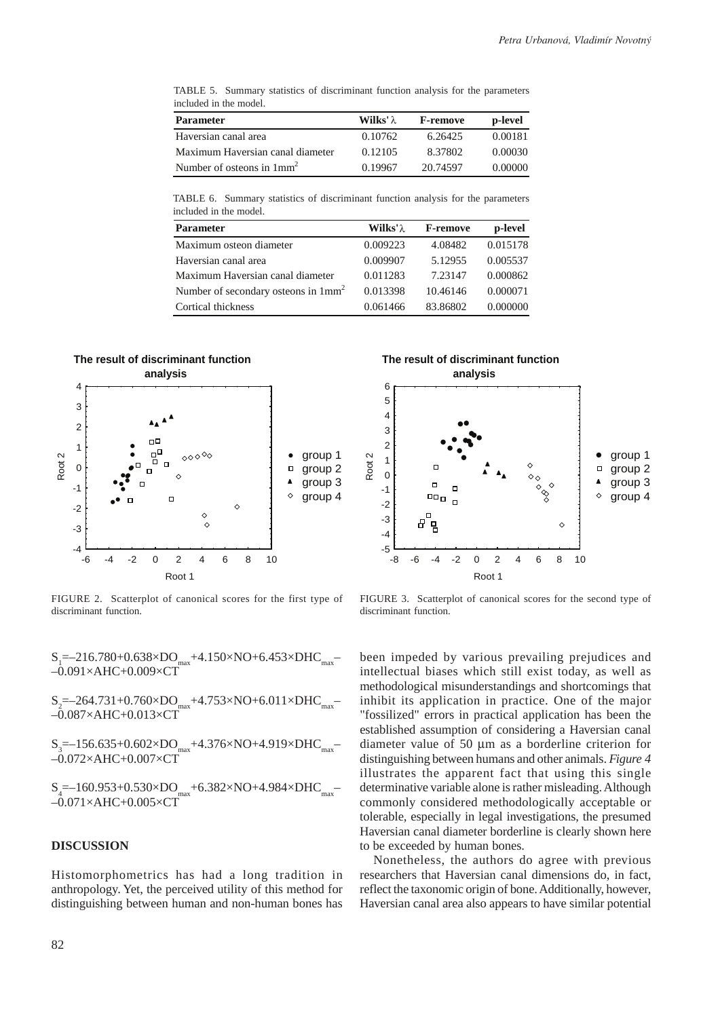TABLE 5. Summary statistics of discriminant function analysis for the parameters included in the model.

| <b>Parameter</b>                 | <b>Wilks'</b> $\lambda$ | <b>F-remove</b> | p-level |
|----------------------------------|-------------------------|-----------------|---------|
| Haversian canal area             | 0.10762                 | 6.26425         | 0.00181 |
| Maximum Haversian canal diameter | 0.12105                 | 8.37802         | 0.00030 |
| Number of osteons in $1mm2$      | 0.19967                 | 20.74597        | 0.00000 |

TABLE 6. Summary statistics of discriminant function analysis for the parameters included in the model.

| <b>Parameter</b>                      | <b>Wilks'</b> $\lambda$ | <b>F-remove</b> | p-level  |
|---------------------------------------|-------------------------|-----------------|----------|
| Maximum osteon diameter               | 0.009223                | 4.08482         | 0.015178 |
| Haversian canal area                  | 0.009907                | 5.12955         | 0.005537 |
| Maximum Haversian canal diameter      | 0.011283                | 7.23147         | 0.000862 |
| Number of secondary osteons in $1mm2$ | 0.013398                | 10.46146        | 0.000071 |
| Cortical thickness                    | 0.061466                | 83.86802        | 0.000000 |



FIGURE 2. Scatterplot of canonical scores for the first type of discriminant function.

 $\mathrm{S_{1}}$ =–216.780+0.638×DO $_{\mathrm{max}}$ +4.150×NO+6.453×DHC $_{\mathrm{max}}$ – –0.091×AHC+0.009×CT

 $\text{S}_2$ =–264.731+0.760×DO $_{\text{max}}$ +4.753×NO+6.011×DHC $_{\text{max}}$ –  $-0.087\times AHC + 0.013\times CT$ 

 $\mathrm{S_{3}}$ =–156.635+0.602×DO $_{\mathrm{max}}$ +4.376×NO+4.919×DHC $_{\mathrm{max}}$ – –0.072×AHC+0.007×CT

 $\mathrm{S}_{4}$ =–160.953+0.530×DO $_{\mathrm{max}}$ +6.382×NO+4.984×DHC $_{\mathrm{max}}$ – –0.071×AHC+0.005×CT

## **DISCUSSION**

Histomorphometrics has had a long tradition in anthropology. Yet, the perceived utility of this method for distinguishing between human and non-human bones has



FIGURE 3. Scatterplot of canonical scores for the second type of discriminant function.

been impeded by various prevailing prejudices and intellectual biases which still exist today, as well as methodological misunderstandings and shortcomings that inhibit its application in practice. One of the major "fossilized" errors in practical application has been the established assumption of considering a Haversian canal diameter value of 50 μm as a borderline criterion for distinguishing between humans and other animals. *Figure 4* illustrates the apparent fact that using this single determinative variable alone is rather misleading. Although commonly considered methodologically acceptable or tolerable, especially in legal investigations, the presumed Haversian canal diameter borderline is clearly shown here to be exceeded by human bones.

Nonetheless, the authors do agree with previous researchers that Haversian canal dimensions do, in fact, reflect the taxonomic origin of bone. Additionally, however, Haversian canal area also appears to have similar potential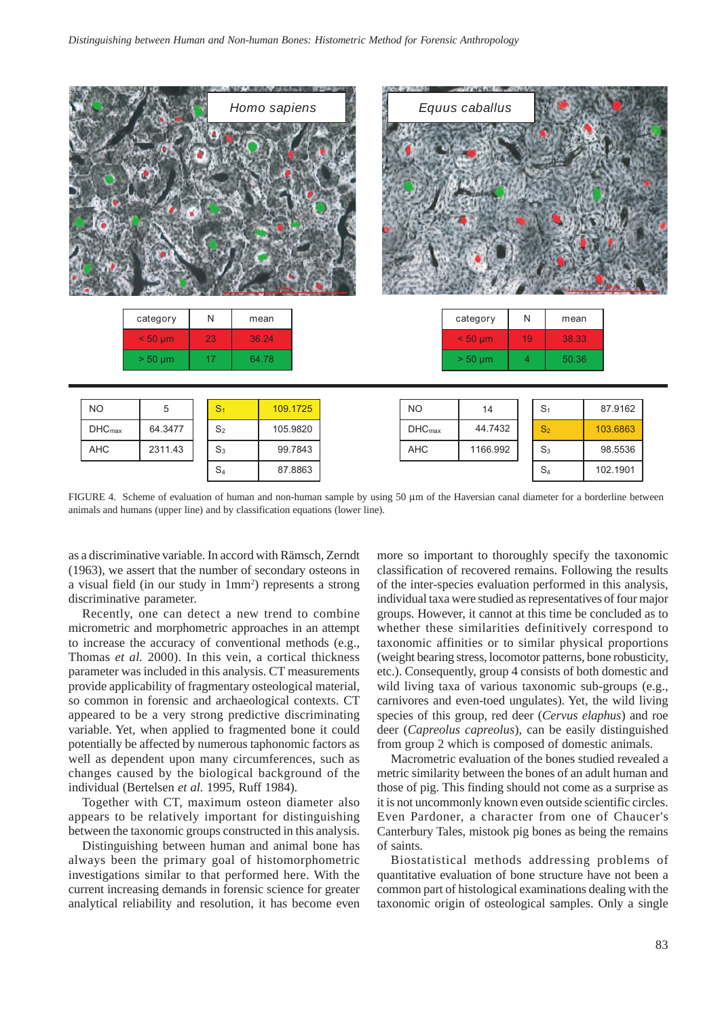|                 |              |                | Homo sapiens | <b>In East of Street, Street</b> | 6, 10, 10       | <b>GIAN A TASKA - SHAW</b><br>Equus caballus |                |                |       |           |  |
|-----------------|--------------|----------------|--------------|----------------------------------|-----------------|----------------------------------------------|----------------|----------------|-------|-----------|--|
|                 | category     | ${\sf N}$      | mean         |                                  |                 | category                                     | N              |                | mean  |           |  |
|                 | $< 50 \mu m$ | 23             | 36.24        |                                  |                 | $< 50 \mu m$                                 | 19             |                | 38.33 |           |  |
|                 | $> 50 \mu m$ | 17             | 64.78        |                                  |                 | $> 50 \mu m$                                 | $\overline{4}$ |                | 50.36 |           |  |
|                 |              |                |              |                                  |                 |                                              |                |                |       |           |  |
| $NO$            | $\,$ 5 $\,$  | S <sub>1</sub> |              | 109.1725                         | <b>NO</b>       | 14                                           |                | $S_1$          |       | 87.9162   |  |
| DH <sub>C</sub> | 61.3177      | $\mathbf{C}$   |              | 1050220                          | DH <sub>C</sub> | $AA$ 7 $A$ 32                                |                | $\mathbf{C}$ . |       | $1036963$ |  |

FIGURE 4. Scheme of evaluation of human and non-human sample by using 50 μm of the Haversian canal diameter for a borderline between animals and humans (upper line) and by classification equations (lower line).

<u>AHC 1166.992 (AHC 1166.992 (AHC 1166.992 (AHC 1166.992 (AHC 1166.992 (AHC 1166.992 (AHC 1166.992 (AHC 1166.992 </u>  $\overline{\phantom{a}}$ 

1166.992

as a discriminative variable. In accord with Rämsch, Zerndt (1963), we assert that the number of secondary osteons in a visual field (in our study in 1mm<sup>2</sup>) represents a strong discriminative parameter.

<u>S4 87.8863 87.8863 87.8863 87.8863 87.8863 87.8863 87.8863 87.8863 87.8863 87.8863 87.8863 87.8863 87.8863 8</u> <u>S3 99.7843 99.7843 99.7843 99.7843 99.7843 99.7843 99.7843 99.7843 99.7843 99.7843 99.7843 99.7843 99.7843 99.</u> <u>S2 105.98200.000 PM and the set of the set of the set of the set of the set of the set of the set of the set o</u>

99.7843

87 8863

AHC 2311.43 DHCmax 64.3477

2311.43

Recently, one can detect a new trend to combine micrometric and morphometric approaches in an attempt to increase the accuracy of conventional methods (e.g., Thomas *et al.* 2000). In this vein, a cortical thickness parameter was included in this analysis. CT measurements provide applicability of fragmentary osteological material, so common in forensic and archaeological contexts. CT appeared to be a very strong predictive discriminating variable. Yet, when applied to fragmented bone it could potentially be affected by numerous taphonomic factors as well as dependent upon many circumferences, such as changes caused by the biological background of the individual (Bertelsen *et al.* 1995, Ruff 1984).

Together with CT, maximum osteon diameter also appears to be relatively important for distinguishing between the taxonomic groups constructed in this analysis.

Distinguishing between human and animal bone has always been the primary goal of histomorphometric investigations similar to that performed here. With the current increasing demands in forensic science for greater analytical reliability and resolution, it has become even more so important to thoroughly specify the taxonomic classification of recovered remains. Following the results of the inter-species evaluation performed in this analysis, individual taxa were studied as representatives of four major groups. However, it cannot at this time be concluded as to whether these similarities definitively correspond to taxonomic affinities or to similar physical proportions (weight bearing stress, locomotor patterns, bone robusticity, etc.). Consequently, group 4 consists of both domestic and wild living taxa of various taxonomic sub-groups (e.g., carnivores and even-toed ungulates). Yet, the wild living species of this group, red deer (*Cervus elaphus*) and roe deer (*Capreolus capreolus*), can be easily distinguished from group 2 which is composed of domestic animals.

S4 102.1901 S3 98.5536 S2 103.6863 103.686

Macrometric evaluation of the bones studied revealed a metric similarity between the bones of an adult human and those of pig. This finding should not come as a surprise as it is not uncommonly known even outside scientific circles. Even Pardoner, a character from one of Chaucer's Canterbury Tales, mistook pig bones as being the remains of saints.

Biostatistical methods addressing problems of quantitative evaluation of bone structure have not been a common part of histological examinations dealing with the taxonomic origin of osteological samples. Only a single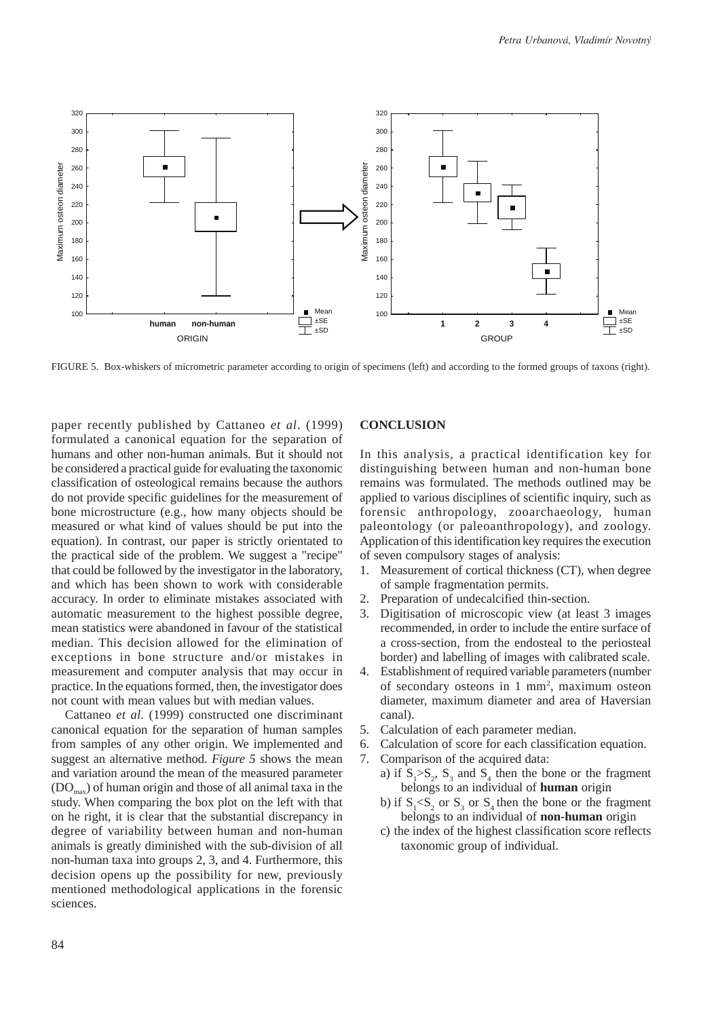

FIGURE 5. Box-whiskers of micrometric parameter according to origin of specimens (left) and according to the formed groups of taxons (right).

paper recently published by Cattaneo *et al*. (1999) formulated a canonical equation for the separation of humans and other non-human animals. But it should not be considered a practical guide for evaluating the taxonomic classification of osteological remains because the authors do not provide specific guidelines for the measurement of bone microstructure (e.g., how many objects should be measured or what kind of values should be put into the equation). In contrast, our paper is strictly orientated to the practical side of the problem. We suggest a "recipe" that could be followed by the investigator in the laboratory, and which has been shown to work with considerable accuracy. In order to eliminate mistakes associated with automatic measurement to the highest possible degree, mean statistics were abandoned in favour of the statistical median. This decision allowed for the elimination of exceptions in bone structure and/or mistakes in measurement and computer analysis that may occur in practice. In the equations formed, then, the investigator does not count with mean values but with median values.

Cattaneo *et al.* (1999) constructed one discriminant canonical equation for the separation of human samples from samples of any other origin. We implemented and suggest an alternative method. *Figure 5* shows the mean and variation around the mean of the measured parameter  $(DO<sub>max</sub>)$  of human origin and those of all animal taxa in the study. When comparing the box plot on the left with that on he right, it is clear that the substantial discrepancy in degree of variability between human and non-human animals is greatly diminished with the sub-division of all non-human taxa into groups 2, 3, and 4. Furthermore, this decision opens up the possibility for new, previously mentioned methodological applications in the forensic sciences.

## **CONCLUSION**

In this analysis, a practical identification key for distinguishing between human and non-human bone remains was formulated. The methods outlined may be applied to various disciplines of scientific inquiry, such as forensic anthropology, zooarchaeology, human paleontology (or paleoanthropology), and zoology. Application of this identification key requires the execution of seven compulsory stages of analysis:

- 1. Measurement of cortical thickness (CT), when degree of sample fragmentation permits.
- 2. Preparation of undecalcified thin-section.
- 3. Digitisation of microscopic view (at least 3 images recommended, in order to include the entire surface of a cross-section, from the endosteal to the periosteal border) and labelling of images with calibrated scale.
- 4. Establishment of required variable parameters (number of secondary osteons in 1 mm<sup>2</sup>, maximum osteon diameter, maximum diameter and area of Haversian canal).
- 5. Calculation of each parameter median.
- 6. Calculation of score for each classification equation.
- 7. Comparison of the acquired data:
	- a) if  $S_1 > S_2$ ,  $S_3$  and  $S_4$  then the bone or the fragment belongs to an individual of **human** origin
	- b) if  $S_1 < S_2$  or  $S_3$  or  $S_4$  then the bone or the fragment belongs to an individual of **non-human** origin
	- c) the index of the highest classification score reflects taxonomic group of individual.